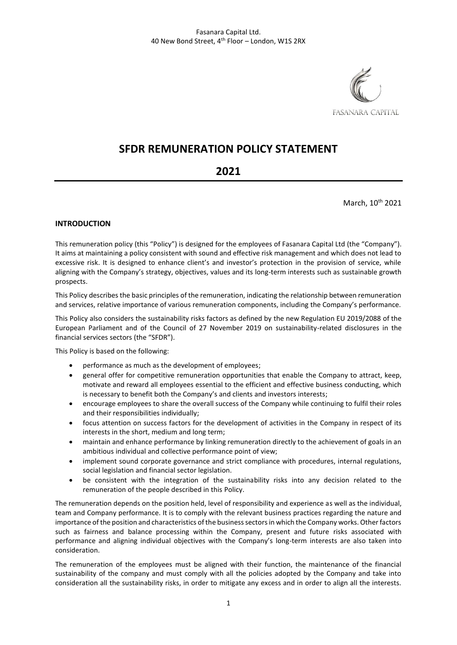

# **SFDR REMUNERATION POLICY STATEMENT**

## **2021**

March, 10<sup>th</sup> 2021

### **INTRODUCTION**

This remuneration policy (this "Policy") is designed for the employees of Fasanara Capital Ltd (the "Company"). It aims at maintaining a policy consistent with sound and effective risk management and which does not lead to excessive risk. It is designed to enhance client's and investor's protection in the provision of service, while aligning with the Company's strategy, objectives, values and its long-term interests such as sustainable growth prospects.

This Policy describes the basic principles of the remuneration, indicating the relationship between remuneration and services, relative importance of various remuneration components, including the Company's performance.

This Policy also considers the sustainability risks factors as defined by the new Regulation EU 2019/2088 of the European Parliament and of the Council of 27 November 2019 on sustainability-related disclosures in the financial services sectors (the "SFDR").

This Policy is based on the following:

- performance as much as the development of employees;
- general offer for competitive remuneration opportunities that enable the Company to attract, keep, motivate and reward all employees essential to the efficient and effective business conducting, which is necessary to benefit both the Company's and clients and investors interests;
- encourage employees to share the overall success of the Company while continuing to fulfil their roles and their responsibilities individually;
- focus attention on success factors for the development of activities in the Company in respect of its interests in the short, medium and long term;
- maintain and enhance performance by linking remuneration directly to the achievement of goals in an ambitious individual and collective performance point of view;
- implement sound corporate governance and strict compliance with procedures, internal regulations, social legislation and financial sector legislation.
- be consistent with the integration of the sustainability risks into any decision related to the remuneration of the people described in this Policy.

The remuneration depends on the position held, level of responsibility and experience as well as the individual, team and Company performance. It is to comply with the relevant business practices regarding the nature and importance of the position and characteristics of the business sectors in which the Company works. Other factors such as fairness and balance processing within the Company, present and future risks associated with performance and aligning individual objectives with the Company's long-term interests are also taken into consideration.

The remuneration of the employees must be aligned with their function, the maintenance of the financial sustainability of the company and must comply with all the policies adopted by the Company and take into consideration all the sustainability risks, in order to mitigate any excess and in order to align all the interests.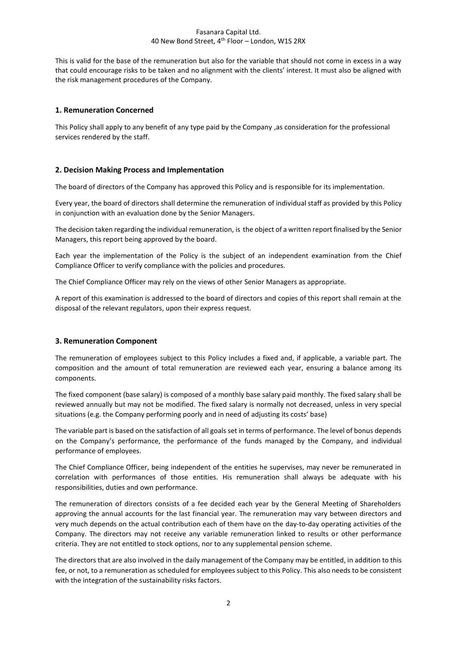#### Fasanara Capital Ltd. 40 New Bond Street, 4th Floor – London, W1S 2RX

This is valid for the base of the remuneration but also for the variable that should not come in excess in a way that could encourage risks to be taken and no alignment with the clients' interest. It must also be aligned with the risk management procedures of the Company.

#### **1. Remuneration Concerned**

This Policy shall apply to any benefit of any type paid by the Company ,as consideration for the professional services rendered by the staff.

#### **2. Decision Making Process and Implementation**

The board of directors of the Company has approved this Policy and is responsible for its implementation.

Every year, the board of directors shall determine the remuneration of individual staff as provided by this Policy in conjunction with an evaluation done by the Senior Managers.

The decision taken regarding the individual remuneration, is the object of a written report finalised by the Senior Managers, this report being approved by the board.

Each year the implementation of the Policy is the subject of an independent examination from the Chief Compliance Officer to verify compliance with the policies and procedures.

The Chief Compliance Officer may rely on the views of other Senior Managers as appropriate.

A report of this examination is addressed to the board of directors and copies of this report shall remain at the disposal of the relevant regulators, upon their express request.

#### **3. Remuneration Component**

The remuneration of employees subject to this Policy includes a fixed and, if applicable, a variable part. The composition and the amount of total remuneration are reviewed each year, ensuring a balance among its components.

The fixed component (base salary) is composed of a monthly base salary paid monthly. The fixed salary shall be reviewed annually but may not be modified. The fixed salary is normally not decreased, unless in very special situations (e.g. the Company performing poorly and in need of adjusting its costs' base)

The variable part is based on the satisfaction of all goals set in terms of performance. The level of bonus depends on the Company's performance, the performance of the funds managed by the Company, and individual performance of employees.

The Chief Compliance Officer, being independent of the entities he supervises, may never be remunerated in correlation with performances of those entities. His remuneration shall always be adequate with his responsibilities, duties and own performance.

The remuneration of directors consists of a fee decided each year by the General Meeting of Shareholders approving the annual accounts for the last financial year. The remuneration may vary between directors and very much depends on the actual contribution each of them have on the day-to-day operating activities of the Company. The directors may not receive any variable remuneration linked to results or other performance criteria. They are not entitled to stock options, nor to any supplemental pension scheme.

The directors that are also involved in the daily management of the Company may be entitled, in addition to this fee, or not, to a remuneration as scheduled for employees subject to this Policy. This also needs to be consistent with the integration of the sustainability risks factors.